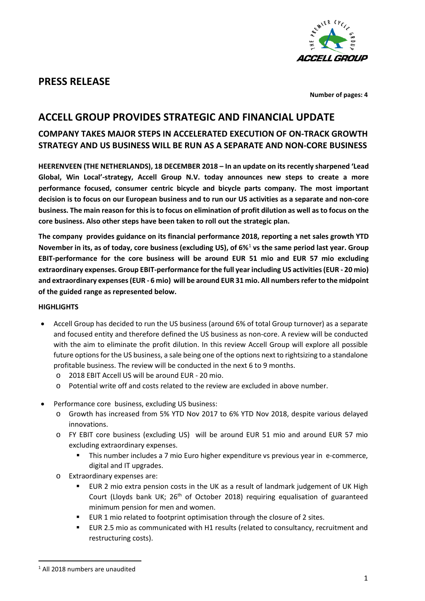

# **PRESS RELEASE**

**Number of pages: 4**

# **ACCELL GROUP PROVIDES STRATEGIC AND FINANCIAL UPDATE**

### **COMPANY TAKES MAJOR STEPS IN ACCELERATED EXECUTION OF ON-TRACK GROWTH STRATEGY AND US BUSINESS WILL BE RUN AS A SEPARATE AND NON-CORE BUSINESS**

**HEERENVEEN (THE NETHERLANDS), 18 DECEMBER 2018 – In an update on its recently sharpened 'Lead Global, Win Local'-strategy, Accell Group N.V. today announces new steps to create a more performance focused, consumer centric bicycle and bicycle parts company. The most important decision is to focus on our European business and to run our US activities as a separate and non-core business. The main reason for this is to focus on elimination of profit dilution as well as to focus on the core business. Also other steps have been taken to roll out the strategic plan.** 

**The company provides guidance on its financial performance 2018, reporting a net sales growth YTD November in its, as of today, core business (excluding US), of 6%**[1](#page-0-0) **vs the same period last year. Group EBIT-performance for the core business will be around EUR 51 mio and EUR 57 mio excluding extraordinary expenses. Group EBIT-performance for the full year including US activities (EUR - 20 mio) and extraordinary expenses(EUR - 6 mio) will be around EUR 31 mio. All numbers refer to the midpoint of the guided range as represented below.**

#### **HIGHLIGHTS**

- Accell Group has decided to run the US business (around 6% of total Group turnover) as a separate and focused entity and therefore defined the US business as non-core. A review will be conducted with the aim to eliminate the profit dilution. In this review Accell Group will explore all possible future options for the US business, a sale being one of the options next to rightsizing to a standalone profitable business. The review will be conducted in the next 6 to 9 months.
	- o 2018 EBIT Accell US will be around EUR 20 mio.
	- o Potential write off and costs related to the review are excluded in above number.
- Performance core business, excluding US business:
	- o Growth has increased from 5% YTD Nov 2017 to 6% YTD Nov 2018, despite various delayed innovations.
	- o FY EBIT core business (excluding US) will be around EUR 51 mio and around EUR 57 mio excluding extraordinary expenses.
		- This number includes a 7 mio Euro higher expenditure vs previous year in e-commerce, digital and IT upgrades.
	- o Extraordinary expenses are:
		- EUR 2 mio extra pension costs in the UK as a result of landmark judgement of UK High Court (Lloyds bank UK; 26<sup>th</sup> of October 2018) requiring equalisation of guaranteed minimum pension for men and women.
		- **EUR 1 mio related to footprint optimisation through the closure of 2 sites.**
		- EUR 2.5 mio as communicated with H1 results (related to consultancy, recruitment and restructuring costs).

<span id="page-0-0"></span> <sup>1</sup> All 2018 numbers are unaudited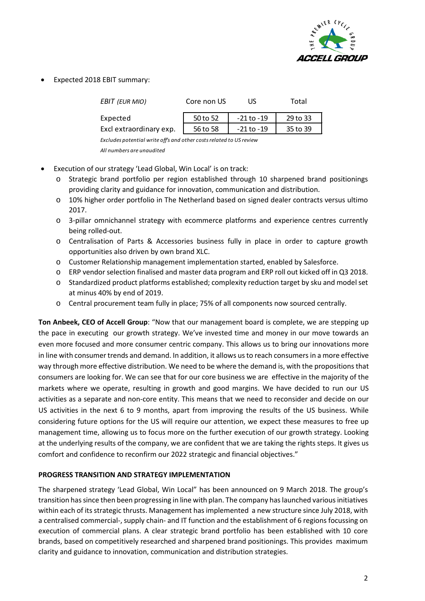

• Expected 2018 EBIT summary:

| EBIT (EUR MIO)          | Core non US | US             | Total    |
|-------------------------|-------------|----------------|----------|
| Expected                | 50 to 52    | -21 to -19     | 29 to 33 |
| Excl extraordinary exp. | 56 to 58    | $-21$ to $-19$ | 35 to 39 |
|                         |             |                |          |

*Excludes potential write off's and other costs related to US review All numbers are unaudited*

- Execution of our strategy 'Lead Global, Win Local' is on track:
	- o Strategic brand portfolio per region established through 10 sharpened brand positionings providing clarity and guidance for innovation, communication and distribution.
	- o 10% higher order portfolio in The Netherland based on signed dealer contracts versus ultimo 2017.
	- o 3-pillar omnichannel strategy with ecommerce platforms and experience centres currently being rolled-out.
	- o Centralisation of Parts & Accessories business fully in place in order to capture growth opportunities also driven by own brand XLC.
	- o Customer Relationship management implementation started, enabled by Salesforce.
	- o ERP vendor selection finalised and master data program and ERP roll out kicked off in Q3 2018.
	- o Standardized product platforms established; complexity reduction target by sku and model set at minus 40% by end of 2019.
	- o Central procurement team fully in place; 75% of all components now sourced centrally.

**Ton Anbeek, CEO of Accell Group**: "Now that our management board is complete, we are stepping up the pace in executing our growth strategy. We've invested time and money in our move towards an even more focused and more consumer centric company. This allows us to bring our innovations more in line with consumer trends and demand. In addition, it allows us to reach consumers in a more effective way through more effective distribution. We need to be where the demand is, with the propositions that consumers are looking for. We can see that for our core business we are effective in the majority of the markets where we operate, resulting in growth and good margins. We have decided to run our US activities as a separate and non-core entity. This means that we need to reconsider and decide on our US activities in the next 6 to 9 months, apart from improving the results of the US business. While considering future options for the US will require our attention, we expect these measures to free up management time, allowing us to focus more on the further execution of our growth strategy. Looking at the underlying results of the company, we are confident that we are taking the rights steps. It gives us comfort and confidence to reconfirm our 2022 strategic and financial objectives."

#### **PROGRESS TRANSITION AND STRATEGY IMPLEMENTATION**

The sharpened strategy 'Lead Global, Win Local" has been announced on 9 March 2018. The group's transition hassince then been progressing in line with plan. The company haslaunched various initiatives within each of its strategic thrusts. Management has implemented a new structure since July 2018, with a centralised commercial-, supply chain- and IT function and the establishment of 6 regions focussing on execution of commercial plans. A clear strategic brand portfolio has been established with 10 core brands, based on competitively researched and sharpened brand positionings. This provides maximum clarity and guidance to innovation, communication and distribution strategies.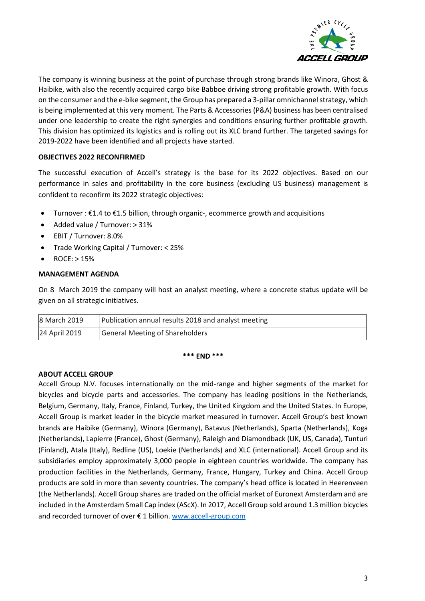

The company is winning business at the point of purchase through strong brands like Winora, Ghost & Haibike, with also the recently acquired cargo bike Babboe driving strong profitable growth. With focus on the consumer and the e-bike segment, the Group has prepared a 3-pillar omnichannel strategy, which is being implemented at this very moment. The Parts & Accessories (P&A) business has been centralised under one leadership to create the right synergies and conditions ensuring further profitable growth. This division has optimized its logistics and is rolling out its XLC brand further. The targeted savings for 2019-2022 have been identified and all projects have started.

### **OBJECTIVES 2022 RECONFIRMED**

The successful execution of Accell's strategy is the base for its 2022 objectives. Based on our performance in sales and profitability in the core business (excluding US business) management is confident to reconfirm its 2022 strategic objectives:

- Turnover:  $\epsilon$ 1.4 to  $\epsilon$ 1.5 billion, through organic-, ecommerce growth and acquisitions
- Added value / Turnover: > 31%
- EBIT / Turnover: 8.0%
- Trade Working Capital / Turnover: < 25%
- ROCE: > 15%

#### **MANAGEMENT AGENDA**

On 8 March 2019 the company will host an analyst meeting, where a concrete status update will be given on all strategic initiatives.

| 8 March 2019  | Publication annual results 2018 and analyst meeting |
|---------------|-----------------------------------------------------|
| 24 April 2019 | General Meeting of Shareholders                     |

#### **\*\*\* END \*\*\***

#### **ABOUT ACCELL GROUP**

Accell Group N.V. focuses internationally on the mid-range and higher segments of the market for bicycles and bicycle parts and accessories. The company has leading positions in the Netherlands, Belgium, Germany, Italy, France, Finland, Turkey, the United Kingdom and the United States. In Europe, Accell Group is market leader in the bicycle market measured in turnover. Accell Group's best known brands are Haibike (Germany), Winora (Germany), Batavus (Netherlands), Sparta (Netherlands), Koga (Netherlands), Lapierre (France), Ghost (Germany), Raleigh and Diamondback (UK, US, Canada), Tunturi (Finland), Atala (Italy), Redline (US), Loekie (Netherlands) and XLC (international). Accell Group and its subsidiaries employ approximately 3,000 people in eighteen countries worldwide. The company has production facilities in the Netherlands, Germany, France, Hungary, Turkey and China. Accell Group products are sold in more than seventy countries. The company's head office is located in Heerenveen (the Netherlands). Accell Group shares are traded on the official market of Euronext Amsterdam and are included in the Amsterdam Small Cap index (AScX). In 2017, Accell Group sold around 1.3 million bicycles and recorded turnover of over € 1 billion. [www.accell-group.com](http://www.accell-group.com/)